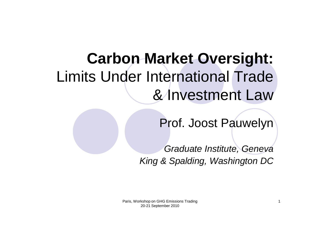# **Carbon Market Oversight:**  Limits Under International Trade & Investment Law

Prof. Joost Pauwelyn

Graduate Institute, Geneva King & Spalding, Washington DC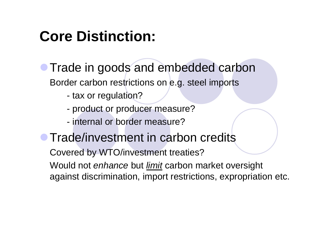# **Core Distinction:**

- **Trade in goods and embedded carbon** Border carbon restrictions on e.g. steel imports
	- tax or regulation?
	- product or producer measure?
	- internal or border measure?

#### **• Trade/investment in carbon credits**

Covered by WTO/investment treaties?

Would not *enhance* but <u>*limit*</u> carbon market oversight against discrimination, import restrictions, expropriation etc.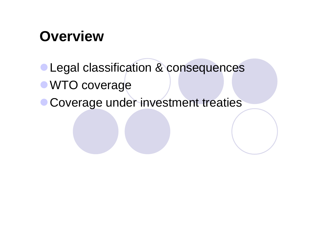### **Overview**

- **Legal classification & consequences WTO coverage**
- **Coverage under investment treaties**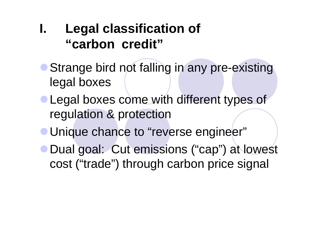#### **I. Legal classification of "carbon credit"**

- Strange bird not falling in any pre-existing legal boxes
- **Legal boxes come with different types of** regulation & protection
- Unique chance to "reverse engineer"
- **Dual goal: Cut emissions ("cap") at lowest** cost ("trade") through carbon price signal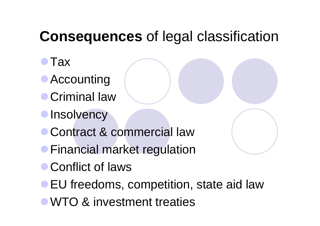# **Consequences** of legal classification

- $\bullet$ Tax
- Accounting
- **Criminal law**
- **OInsolvency**
- **Contract & commercial law**
- **Financial market regulation**
- **Conflict of laws**
- **EU freedoms, competition, state aid law**
- WTO & investment treaties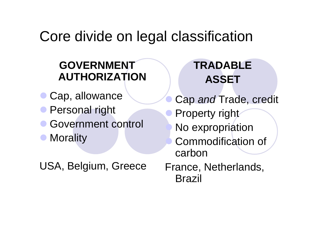#### Core divide on legal classification

#### **GOVERNMENT AUTHORIZATION**

- $\bullet$ Cap, allowance
- **Personal right**
- $\bullet$ Government control
- $\bullet$ **Morality**
- USA, Belgium, Greece

#### **TRADABLE ASSET**

 $\bullet$  Cap and Trade, credit  $\bullet$ **• Property right** O No expropriation O Commodification of carbon

France, Netherlands, Brazil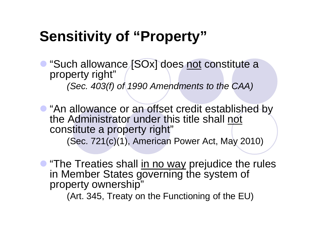## **Sensitivity of "Property"**

• "Such allowance [SOx] does not constitute a property right" (Sec. 403(f) of 1990 Amendments to the CAA)

• "An allowance or an offset credit established by the Administrator under this title shall not constitute a property right" (Sec. 721(c)(1), American Power Act, May 2010)

**• "The Treaties shall in no way prejudice the rules** in Member States governing the system of property ownership"

(Art. 345, Treaty on the Functioning of the EU)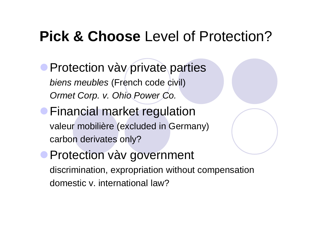#### **Pick & Choose** Level of Protection?

**Protection vàv private parties** *biens meubles* (French code civil) Ormet Corp. v. Ohio Power Co.

**• Financial market regulation** valeur mobilière (excluded in Germany) carbon derivates only?

**Protection vàv government** discrimination, expropriation without compensation domestic v. international law?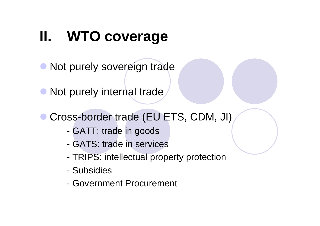# **II. WTO coverage**

• Not purely sovereign trade

• Not purely internal trade

#### $\bullet$ ● Cross-border trade (EU ETS, CDM, JI)

- -GATT: trade in goods
- GATS: trade in services
- -TRIPS: intellectual property protection
- Subsidies
- Government Procurement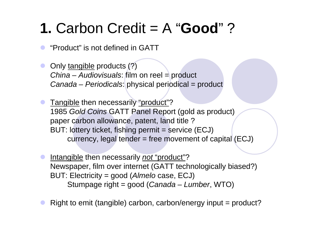# **1.** Carbon Credit = A "**Good**" ?

 $\bullet$ "Product" is not defined in GATT

 $\bullet$  Only tangible products (?) China – Audiovisuals: film on reel = product Canada – Periodicals: physical periodical = product

 $\bullet$  Tangible then necessarily "product"? 1985 Gold Coins GATT Panel Report (gold as product) paper carbon allowance, patent, land title ? BUT: lottery ticket, fishing permit = service (ECJ) currency, legal tender = free movement of capital (ECJ)

 $\bullet$ Intangible then necessarily *not* "product"? Newspaper, film over internet (GATT technologically biased?) BUT: Electricity = good (Almelo case, ECJ) Stumpage right = good (Canada – Lumber, WTO)

 $\bullet$ Right to emit (tangible) carbon, carbon/energy input = product?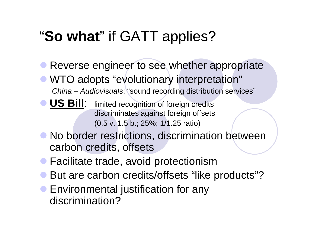# "**So what**" if GATT applies?

- $\bullet$  Reverse engineer to see whether appropriate • WTO adopts "evolutionary interpretation" China – Audiovisuals: "sound recording distribution services"
- **US Bill**: limited recognition of foreign credits discriminates against foreign offsets (0.5 v. 1.5 b.; 25%; 1/1.25 ratio)
- No border restrictions, discrimination between carbon credits, offsets
- **Facilitate trade, avoid protectionism**
- But are carbon credits/offsets "like products"?
- $\bullet$  Environmental justification for any discrimination?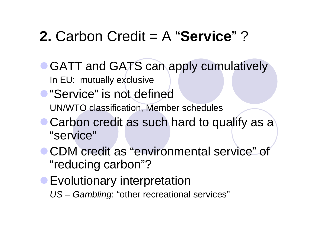## **2.** Carbon Credit = A "**Service**" ?

- GATT and GATS can apply cumulatively In EU: mutually exclusive
- **"Service" is not defined** UN/WTO classification, Member schedules
- Carbon credit as such hard to qualify as a "service"
- **CDM credit as "environmental service" of** "reducing carbon"?
- **Evolutionary interpretation** US – Gambling: "other recreational services"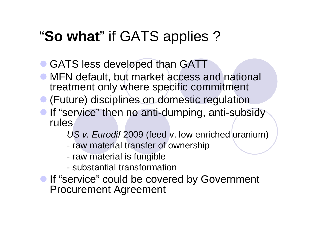# "**So what**" if GATS applies ?

• GATS less developed than GATT

- MFN default, but market access and national treatment only where specific commitment
- **•** (Future) disciplines on domestic regulation

• If "service" then no anti-dumping, anti-subsidy rules

US v. Eurodif 2009 (feed v. low enriched uranium)

- raw material transfer of ownership
- raw material is fungible
- substantial transformation
- **If "service" could be covered by Government** Procurement Agreement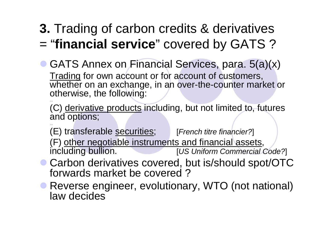#### **3.** Trading of carbon credits & derivatives <sup>=</sup>"**financial service**" covered by GATS ?

• GATS Annex on Financial Services, para. 5(a)(x) Trading for own account or for account of customers, whether on an exchange, in an over-the-counter market or otherwise, the following:

(C) derivative products including, but not limited to, futures and options;

(E) transferable securities; [French titre financier?]

(F) other negotiable instruments and financial assets,<br>including bullion. [US Uniform Commercial ( **IUS Uniform Commercial Code?**]

- Carbon derivatives covered, but is/should spot/OTC forwards market be covered ?
- Reverse engineer, evolutionary, WTO (not national) law decides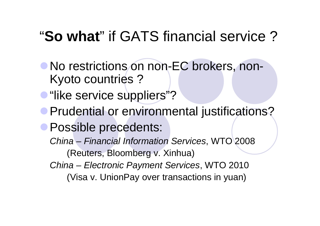## "**So what**" if GATS financial service ?

- No restrictions on non-EC brokers, non-Kyoto countries ?
- **"like service suppliers"?**
- **Prudential or environmental justifications?**
- **Possible precedents:** 
	- China Financial Information Services, WTO 2008 (Reuters, Bloomberg v. Xinhua)
	- China Electronic Payment Services, WTO 2010
		- (Visa v. UnionPay over transactions in yuan)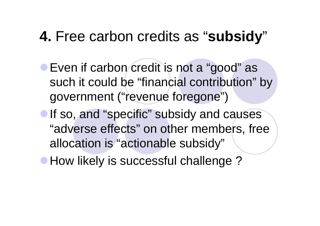#### **4.** Free carbon credits as "**subsidy**"

- **Even if carbon credit is not a "good" as** such it could be "financial contribution" by government ("revenue foregone")
- If so, and "specific" subsidy and causes "adverse effects" on other members, free allocation is "actionable subsidy"
- How likely is successful challenge?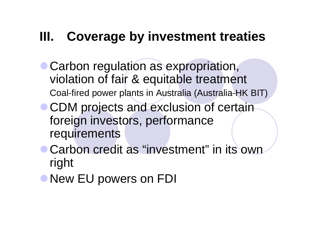#### **III. Coverage by investment treaties**

- Carbon regulation as expropriation, violation of fair & equitable treatment Coal-fired power plants in Australia (Australia-HK BIT)
- **CDM projects and exclusion of certain** foreign investors, performance requirements
- **Carbon credit as "investment" in its own** right
- New EU powers on FDI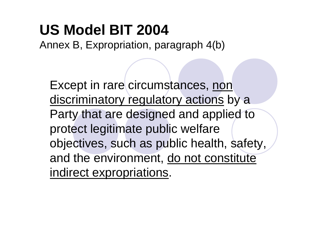# **US Model BIT 2004**

Annex B, Expropriation, paragraph 4(b)

Except in rare circumstances, non discriminatory regulatory actions by a Party that are designed and applied to protect legitimate public welfare objectives, such as public health, safety, and the environment, do not constitute indirect expropriations.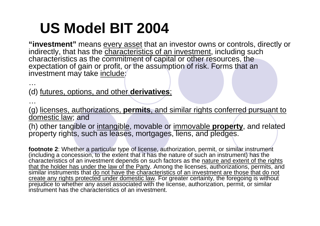# **US Model BIT 2004**

**"investment"** means every asset that an investor owns or controls, directly or indirectly, that has the *characteristics of an investment*, including such characteristics as the commitment of capital or other resources, the expectation of gain or profit, or the assumption of risk. Forms that an investment may take include;

(d) futures, options, and other **derivatives**;

…

…

(g) licenses, authorizations, **permits**, and similar rights conferred pursuant to domestic law; and

(h) other tangible or intangible, movable or immovable **property**, and related property rights, such as leases, mortgages, liens, and pledges.

**footnote 2**: Whether a particular type of license, authorization, permit, or similar instrument (including a concession, to the extent that it has the nature of such an instrument) has the characteristics of an investment depends on such factors as the nature and extent of the rights that the holder has under the law of the Party. Among the licenses, authorizations, permits, and similar instruments that do not have the characteristics of an investment are those that do not create any rights protected under domestic law. For greater certainty, the foregoing is without prejudice to whether any asset associated with the license, authorization, permit, or similar instrument has the characteristics of an investment.